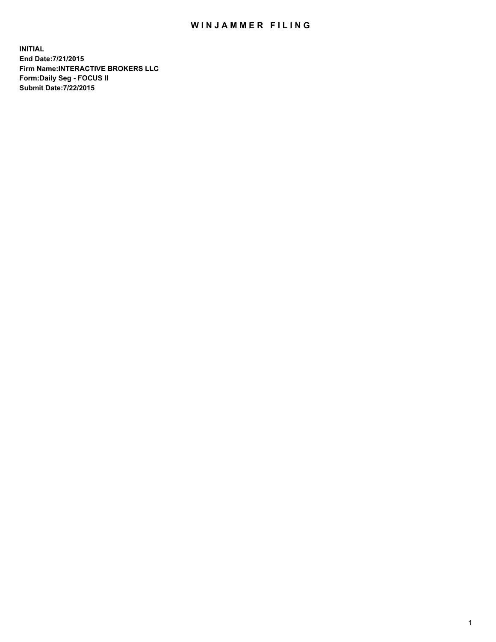## WIN JAMMER FILING

**INITIAL End Date:7/21/2015 Firm Name:INTERACTIVE BROKERS LLC Form:Daily Seg - FOCUS II Submit Date:7/22/2015**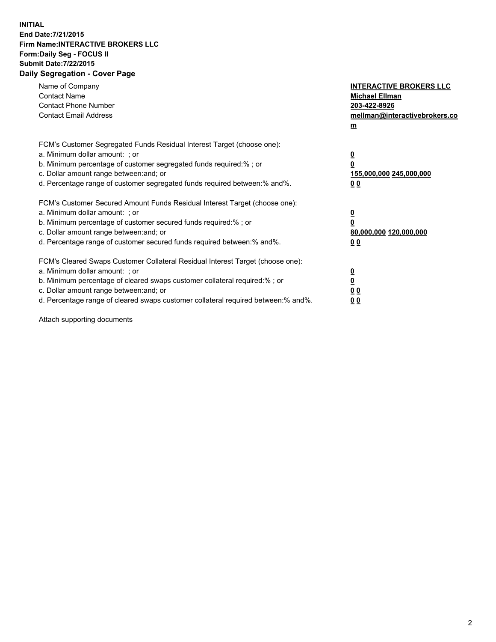## **INITIAL End Date:7/21/2015 Firm Name:INTERACTIVE BROKERS LLC Form:Daily Seg - FOCUS II Submit Date:7/22/2015 Daily Segregation - Cover Page**

| Name of Company<br><b>Contact Name</b><br><b>Contact Phone Number</b><br><b>Contact Email Address</b>                                                                                                                                                                                                                          | <b>INTERACTIVE BROKERS LLC</b><br><b>Michael Ellman</b><br>203-422-8926<br>mellman@interactivebrokers.co<br>$m$ |
|--------------------------------------------------------------------------------------------------------------------------------------------------------------------------------------------------------------------------------------------------------------------------------------------------------------------------------|-----------------------------------------------------------------------------------------------------------------|
| FCM's Customer Segregated Funds Residual Interest Target (choose one):<br>a. Minimum dollar amount: ; or<br>b. Minimum percentage of customer segregated funds required:% ; or<br>c. Dollar amount range between: and; or<br>d. Percentage range of customer segregated funds required between: % and %.                       | $\overline{\mathbf{0}}$<br>0<br>155,000,000 245,000,000<br>00                                                   |
| FCM's Customer Secured Amount Funds Residual Interest Target (choose one):<br>a. Minimum dollar amount: ; or<br>b. Minimum percentage of customer secured funds required:%; or<br>c. Dollar amount range between: and; or<br>d. Percentage range of customer secured funds required between: % and %.                          | $\overline{\mathbf{0}}$<br>0<br>80,000,000 120,000,000<br>0 <sub>0</sub>                                        |
| FCM's Cleared Swaps Customer Collateral Residual Interest Target (choose one):<br>a. Minimum dollar amount: ; or<br>b. Minimum percentage of cleared swaps customer collateral required:% ; or<br>c. Dollar amount range between: and; or<br>d. Percentage range of cleared swaps customer collateral required between:% and%. | $\overline{\mathbf{0}}$<br>$\underline{\mathbf{0}}$<br>0 <sub>0</sub><br>0 <sub>0</sub>                         |

Attach supporting documents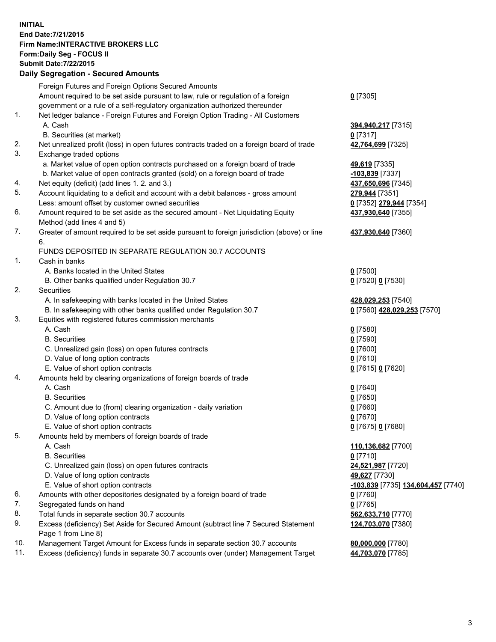## **INITIAL End Date:7/21/2015 Firm Name:INTERACTIVE BROKERS LLC Form:Daily Seg - FOCUS II Submit Date:7/22/2015 Daily Segregation - Secured Amounts**

|     | Foreign Futures and Foreign Options Secured Amounts                                         |                                    |
|-----|---------------------------------------------------------------------------------------------|------------------------------------|
|     | Amount required to be set aside pursuant to law, rule or regulation of a foreign            | $0$ [7305]                         |
|     | government or a rule of a self-regulatory organization authorized thereunder                |                                    |
| 1.  | Net ledger balance - Foreign Futures and Foreign Option Trading - All Customers             |                                    |
|     | A. Cash                                                                                     | 394,940,217 [7315]                 |
|     | B. Securities (at market)                                                                   | $0$ [7317]                         |
| 2.  | Net unrealized profit (loss) in open futures contracts traded on a foreign board of trade   | 42,764,699 [7325]                  |
| 3.  | Exchange traded options                                                                     |                                    |
|     | a. Market value of open option contracts purchased on a foreign board of trade              | 49,619 [7335]                      |
|     | b. Market value of open contracts granted (sold) on a foreign board of trade                | 103,839 [7337]                     |
| 4.  | Net equity (deficit) (add lines 1.2. and 3.)                                                | 437,650,696 [7345]                 |
| 5.  | Account liquidating to a deficit and account with a debit balances - gross amount           | 279,944 [7351]                     |
|     | Less: amount offset by customer owned securities                                            | 0 [7352] 279,944 [7354]            |
| 6.  | Amount required to be set aside as the secured amount - Net Liquidating Equity              | 437,930,640 [7355]                 |
|     | Method (add lines 4 and 5)                                                                  |                                    |
| 7.  | Greater of amount required to be set aside pursuant to foreign jurisdiction (above) or line | 437,930,640 [7360]                 |
|     | 6.                                                                                          |                                    |
|     | FUNDS DEPOSITED IN SEPARATE REGULATION 30.7 ACCOUNTS                                        |                                    |
| 1.  | Cash in banks                                                                               |                                    |
|     | A. Banks located in the United States                                                       | $0$ [7500]                         |
|     | B. Other banks qualified under Regulation 30.7                                              | 0 [7520] 0 [7530]                  |
| 2.  | Securities                                                                                  |                                    |
|     | A. In safekeeping with banks located in the United States                                   | 428,029,253 [7540]                 |
|     | B. In safekeeping with other banks qualified under Regulation 30.7                          | 0 [7560] 428,029,253 [7570]        |
| 3.  | Equities with registered futures commission merchants                                       |                                    |
|     | A. Cash                                                                                     | $0$ [7580]                         |
|     | <b>B.</b> Securities                                                                        | $0$ [7590]                         |
|     | C. Unrealized gain (loss) on open futures contracts                                         | $0$ [7600]                         |
|     | D. Value of long option contracts                                                           | $0$ [7610]                         |
|     | E. Value of short option contracts                                                          | 0 [7615] 0 [7620]                  |
| 4.  | Amounts held by clearing organizations of foreign boards of trade                           |                                    |
|     | A. Cash                                                                                     | $0$ [7640]                         |
|     | <b>B.</b> Securities                                                                        | $0$ [7650]                         |
|     | C. Amount due to (from) clearing organization - daily variation                             | $0$ [7660]                         |
|     | D. Value of long option contracts                                                           | $0$ [7670]                         |
|     | E. Value of short option contracts                                                          | 0 [7675] 0 [7680]                  |
| 5.  | Amounts held by members of foreign boards of trade                                          |                                    |
|     | A. Cash                                                                                     | 110,136,682 [7700]                 |
|     | <b>B.</b> Securities                                                                        | $0$ [7710]                         |
|     | C. Unrealized gain (loss) on open futures contracts                                         | 24,521,987 [7720]                  |
|     | D. Value of long option contracts                                                           | 49,627 [7730]                      |
|     | E. Value of short option contracts                                                          | -103,839 [7735] 134,604,457 [7740] |
| 6.  | Amounts with other depositories designated by a foreign board of trade                      | 0 [7760]                           |
| 7.  | Segregated funds on hand                                                                    | $0$ [7765]                         |
| 8.  | Total funds in separate section 30.7 accounts                                               | 562,633,710 [7770]                 |
| 9.  | Excess (deficiency) Set Aside for Secured Amount (subtract line 7 Secured Statement         | 124,703,070 [7380]                 |
|     | Page 1 from Line 8)                                                                         |                                    |
| 10. | Management Target Amount for Excess funds in separate section 30.7 accounts                 | 80,000,000 [7780]                  |
| 11. | Excess (deficiency) funds in separate 30.7 accounts over (under) Management Target          | 44,703,070 [7785]                  |
|     |                                                                                             |                                    |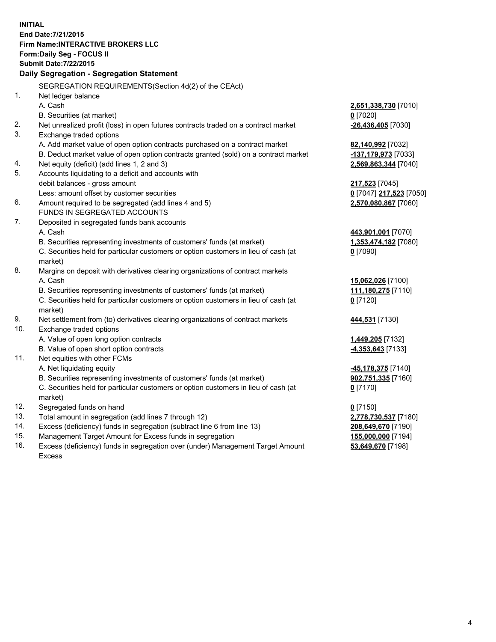**INITIAL End Date:7/21/2015 Firm Name:INTERACTIVE BROKERS LLC Form:Daily Seg - FOCUS II Submit Date:7/22/2015 Daily Segregation - Segregation Statement** SEGREGATION REQUIREMENTS(Section 4d(2) of the CEAct) 1. Net ledger balance A. Cash **2,651,338,730** [7010] B. Securities (at market) **0** [7020] 2. Net unrealized profit (loss) in open futures contracts traded on a contract market **-26,436,405** [7030] 3. Exchange traded options A. Add market value of open option contracts purchased on a contract market **82,140,992** [7032] B. Deduct market value of open option contracts granted (sold) on a contract market **-137,179,973** [7033] 4. Net equity (deficit) (add lines 1, 2 and 3) **2,569,863,344** [7040] 5. Accounts liquidating to a deficit and accounts with debit balances - gross amount **217,523** [7045] Less: amount offset by customer securities **0** [7047] **217,523** [7050] 6. Amount required to be segregated (add lines 4 and 5) **2,570,080,867** [7060] FUNDS IN SEGREGATED ACCOUNTS 7. Deposited in segregated funds bank accounts A. Cash **443,901,001** [7070] B. Securities representing investments of customers' funds (at market) **1,353,474,182** [7080] C. Securities held for particular customers or option customers in lieu of cash (at market) **0** [7090] 8. Margins on deposit with derivatives clearing organizations of contract markets A. Cash **15,062,026** [7100] B. Securities representing investments of customers' funds (at market) **111,180,275** [7110] C. Securities held for particular customers or option customers in lieu of cash (at market) **0** [7120] 9. Net settlement from (to) derivatives clearing organizations of contract markets **444,531** [7130] 10. Exchange traded options A. Value of open long option contracts **1,449,205** [7132] B. Value of open short option contracts **-4,353,643** [7133] 11. Net equities with other FCMs A. Net liquidating equity **-45,178,375** [7140] B. Securities representing investments of customers' funds (at market) **902,751,335** [7160] C. Securities held for particular customers or option customers in lieu of cash (at market) **0** [7170] 12. Segregated funds on hand **0** [7150] 13. Total amount in segregation (add lines 7 through 12) **2,778,730,537** [7180] 14. Excess (deficiency) funds in segregation (subtract line 6 from line 13) **208,649,670** [7190] 15. Management Target Amount for Excess funds in segregation **155,000,000** [7194]

16. Excess (deficiency) funds in segregation over (under) Management Target Amount Excess

**53,649,670** [7198]